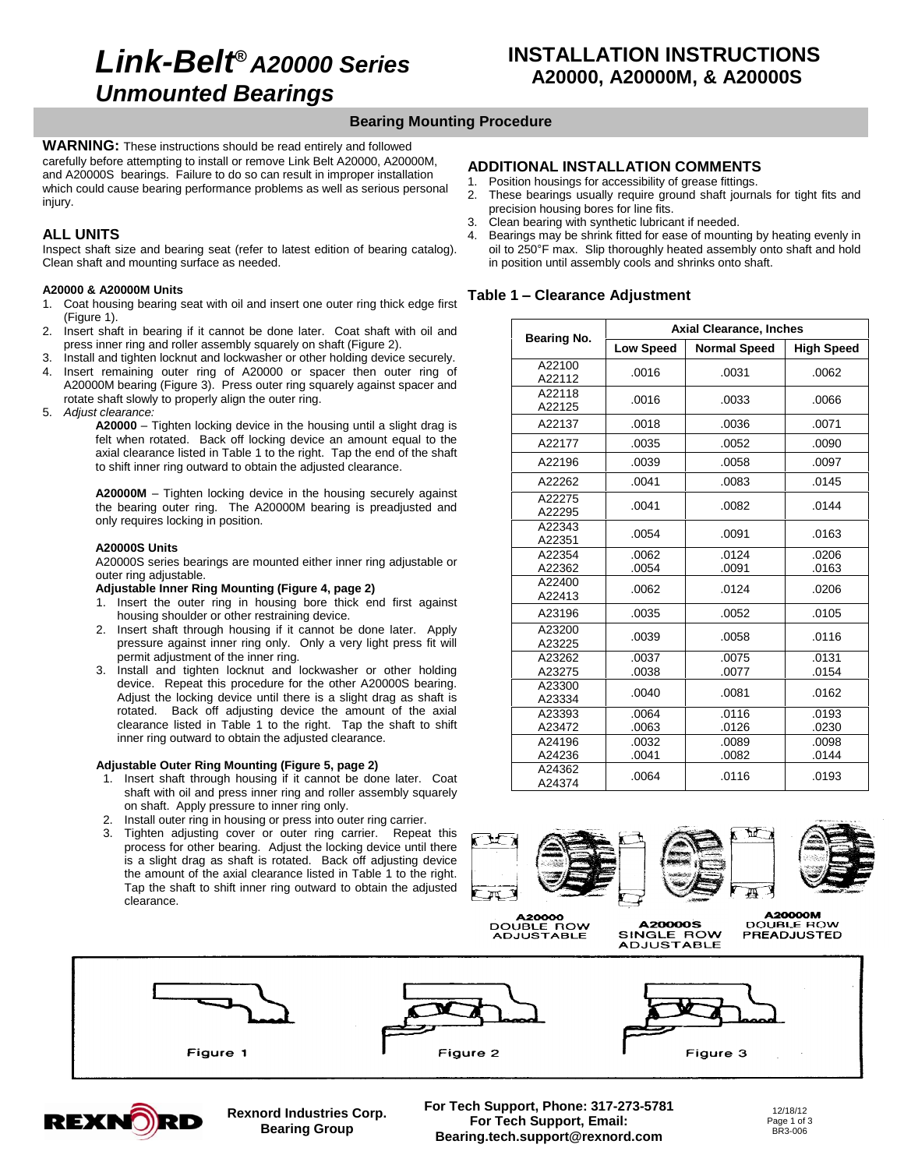# **Link-Belt***<sup>Æ</sup>* **A20000 Series Unmounted Bearings**

# **Bearing Mounting Procedure**

**WARNING:** These instructions should be read entirely and followed carefully before attempting to install or remove Link Belt A20000, A20000M, and A20000S bearings. Failure to do so can result in improper installation 1. which could cause bearing performance problems as well as serious personal  $\frac{1}{2}$ iniurv.

## **ALL UNITS**

Inspect shaft size and bearing seat (refer to latest edition of bearing catalog). Clean shaft and mounting surface as needed.

### **A20000 & A20000M Units**

- 1. Coat housing bearing seat with oil and insert one outer ring thick edge first (Figure 1).
- 2. Insert shaft in bearing if it cannot be done later. Coat shaft with oil and press inner ring and roller assembly squarely on shaft (Figure 2).
- 3. Install and tighten locknut and lockwasher or other holding device securely. 4. Insert remaining outer ring of A20000 or spacer then outer ring of A20000M bearing (Figure 3). Press outer ring squarely against spacer and rotate shaft slowly to properly align the outer ring.
- 5. Adjust clearance:

**A20000** – Tighten locking device in the housing until a slight drag is felt when rotated. Back off locking device an amount equal to the axial clearance listed in Table 1 to the right. Tap the end of the shaft to shift inner ring outward to obtain the adjusted clearance.

**A20000M** – Tighten locking device in the housing securely against the bearing outer ring. The A20000M bearing is preadjusted and only requires locking in position.

### **A20000S Units**

A20000S series bearings are mounted either inner ring adjustable or outer ring adjustable.

### **Adjustable Inner Ring Mounting (Figure 4, page 2)**

- 1. Insert the outer ring in housing bore thick end first against housing shoulder or other restraining device.
- 2. Insert shaft through housing if it cannot be done later. Apply pressure against inner ring only. Only a very light press fit will permit adjustment of the inner ring.
- 3. Install and tighten locknut and lockwasher or other holding device. Repeat this procedure for the other A20000S bearing. Adjust the locking device until there is a slight drag as shaft is rotated. Back off adjusting device the amount of the axial clearance listed in Table 1 to the right. Tap the shaft to shift inner ring outward to obtain the adjusted clearance.

### **Adjustable Outer Ring Mounting (Figure 5, page 2)**

- 1. Insert shaft through housing if it cannot be done later. Coat shaft with oil and press inner ring and roller assembly squarely on shaft. Apply pressure to inner ring only.
- 2. Install outer ring in housing or press into outer ring carrier.
- 3. Tighten adjusting cover or outer ring carrier. Repeat this process for other bearing. Adjust the locking device until there is a slight drag as shaft is rotated. Back off adjusting device the amount of the axial clearance listed in Table 1 to the right. Tap the shaft to shift inner ring outward to obtain the adjusted clearance.

## **ADDITIONAL INSTALLATION COMMENTS**

- Position housings for accessibility of grease fittings.
- These bearings usually require ground shaft journals for tight fits and precision housing bores for line fits.
- 3. Clean bearing with synthetic lubricant if needed.
- 4. Bearings may be shrink fitted for ease of mounting by heating evenly in Clean bearing with synthetic lubricant if needed.<br>Bearings may be shrink fitted for ease of mounting by heating evenly in<br>oil to 250°F max. Slip thoroughly heated assembly onto shaft and hold in position until assembly cools and shrinks onto shaft. oil to 250°F max. Slip thoroughly heated assembly onto shaft and hold<br>in position until assembly cools and shrinks onto shaft.<br>**Table 1 – Clearance Adjustment**

|                  | <b>Axial Clearance, Inches</b> |                     |                   |  |  |  |
|------------------|--------------------------------|---------------------|-------------------|--|--|--|
| Bearing No.      | <b>Low Speed</b>               | <b>Normal Speed</b> | <b>High Speed</b> |  |  |  |
| A22100<br>A22112 | .0016                          | .0031               | .0062             |  |  |  |
| A22118<br>A22125 | .0016                          | .0033               | .0066             |  |  |  |
| A22137           | .0018                          | .0036               | .0071             |  |  |  |
| A22177           | .0035                          | .0052               | .0090             |  |  |  |
| A22196           | .0039                          | .0058               | .0097             |  |  |  |
| A22262           | .0041                          | .0083               | .0145             |  |  |  |
| A22275<br>A22295 | .0041                          | .0082               | .0144             |  |  |  |
| A22343<br>A22351 | .0054                          | .0091               | .0163             |  |  |  |
| A22354<br>A22362 | .0062<br>.0054                 | .0124<br>.0091      | .0206<br>.0163    |  |  |  |
| A22400<br>A22413 | .0062                          | .0124               | .0206             |  |  |  |
| A23196           | .0035                          | .0052               | .0105             |  |  |  |
| A23200<br>A23225 | .0039                          | .0058               | .0116             |  |  |  |
| A23262<br>A23275 | .0037<br>.0038                 | .0075<br>.0077      | .0131<br>.0154    |  |  |  |
| A23300<br>A23334 | .0040                          | .0081               | .0162             |  |  |  |
| A23393<br>A23472 | .0064<br>.0063                 | .0116<br>.0126      | .0193<br>.0230    |  |  |  |
| A24196<br>A24236 | .0032<br>.0041                 | .0089<br>.0082      | .0098<br>.0144    |  |  |  |
| A24362<br>A24374 | .0064                          | .0116               | .0193             |  |  |  |







**A20000**<br>DOUBLE ROW<br>ADJUSTABLE





Figure 3



Figure 1



**Rexnord Industries Corp. Bearing Group**

**For Tech Support, Phone: 317-273-5781 For Tech Support, Email: [Bearing.tech.support@rexnord.com](mailto:Bearing.tech.support@rexnord.com)**

12/18/12 Page 1 of 3<br>BR3-006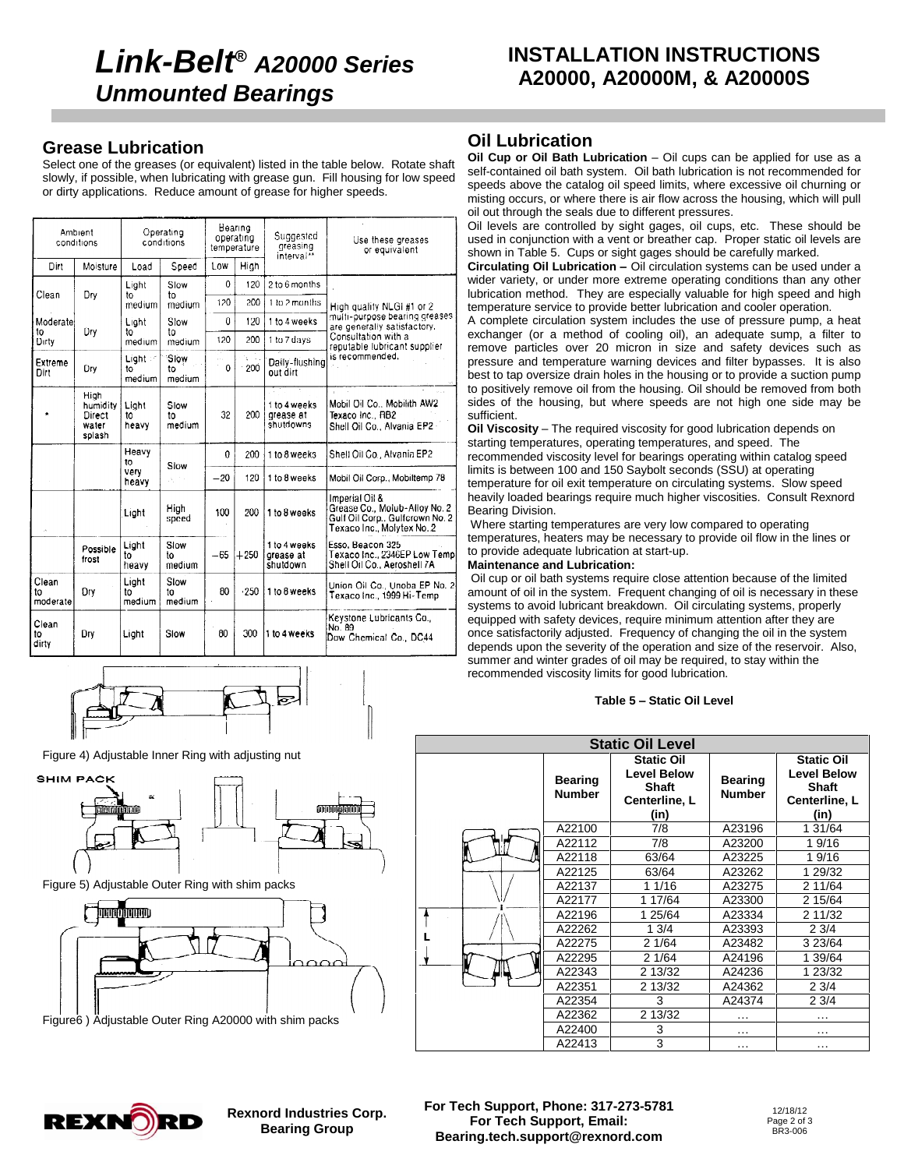# **Link-Belt***<sup>Æ</sup>* **A20000 Series Unmounted Bearings**

# **INSTALLATION INSTRUCTIONS A20000, A20000M, & A20000S**

# **Grease Lubrication**

Select one of the greases (or equivalent) listed in the table below. Rotate shaft slowly, if possible, when lubricating with grease gun. Fill housing for low speed or dirty applications. Reduce amount of grease for higher speeds.

| Ambient<br>conditions   |                                               | Operating<br>conditions |                      | Bearing<br>operating<br>temperature |        | Suggested<br>greasing<br>interval <sup>7</sup> | Use these greases<br>or equivalent                                                                               |  |
|-------------------------|-----------------------------------------------|-------------------------|----------------------|-------------------------------------|--------|------------------------------------------------|------------------------------------------------------------------------------------------------------------------|--|
| Dirt                    | Moisture                                      | Load                    | Speed                | Low                                 | High   |                                                |                                                                                                                  |  |
|                         |                                               | Light                   | Slow                 | $\mathbf{0}$                        | 120    | 2 to 6 months                                  |                                                                                                                  |  |
| Clean                   | Dry                                           | to<br>medium            | to<br>medium         | 120                                 | 200    | 1 to 2 months                                  | High quality NLGI #1 or 2                                                                                        |  |
| Moderate                |                                               | Light                   | Slow                 | 0                                   | 120    | 1 to 4 weeks                                   | multi-purpose bearing greases<br>are generally satisfactory.                                                     |  |
| to<br>Dirty             | Dry                                           | t٥<br>medium            | t٥<br>medium         | 120                                 | 200    | 1 to 7 days                                    | Consultation with a<br>reputable lubricant supplier                                                              |  |
| Extreme<br>Dirt         | Dry                                           | Light :<br>t٥<br>medium | Slow<br>to<br>medium | e e c<br>0                          | 200    | Daily-flushing<br>out dirt                     | is recommended.                                                                                                  |  |
|                         | High<br>humidity<br>Direct<br>water<br>splash | Light<br>to<br>heavy    | Slow<br>to<br>medium | 32                                  | 200    | 1 to 4 weeks<br>grease at<br>shutdowns         | Mobil Oil Co., Mobilith AW2<br>Texaco Inc., RB2<br>Shell Oil Co., Alvania EP2 -                                  |  |
|                         |                                               | Heavy<br>to             |                      | $\Omega$                            | 200    | 1 to 8 weeks                                   | Shell Oil Co., Alvania EP2                                                                                       |  |
|                         |                                               | very<br>heavy           | Slow<br>А.           | $-20$                               | 120    | 1 to 8 weeks                                   | Mobil Oil Corp., Mobiltemp 78                                                                                    |  |
| $\mathcal{A}$           |                                               | Light                   | High<br>speed        | 100                                 | 200    | 1 to 8 weeks                                   | Imperial Oil &<br>Grease Co., Molub-Alloy No. 2<br>Gulf Oil Corp., Gulfcrown No. 2<br>Texaco Inc., Molytex No. 2 |  |
|                         | Possible<br>frost                             | Light<br>tο<br>heavy    | Slow<br>t٥<br>medium | $-65$                               | $+250$ | 1 to 4 weeks<br>grease at<br>shutdown          | Esso, Beacon 325<br>Texaco Inc., 2346EP Low Temp<br>Shell Oil Co., Aeroshell 7A                                  |  |
| Clean<br>to<br>moderate | Dry                                           | Light<br>to<br>medium   | Slow<br>to<br>medium | 80                                  | $-250$ | 1 to 8 weeks                                   | Union Oil Co., Unoba EP No. 2<br>Texaco Inc., 1999 Hi-Temp                                                       |  |
| Clean<br>to<br>dirty    | Drv                                           | Light                   | Slow                 | 80                                  | 300    | 1 to 4 weeks                                   | Keystone Lubricants Co.,<br>No. 89<br>Dow Chemical Co., DC44                                                     |  |

Figure 4) Adjustable Inner Ring with adjusting nut



Figure 5) Adjustable Outer Ring with shim packs



Figure6 ) Adjustable Outer Ring A20000 with shim packs

# **Oil Lubrication**

**Oil Cup or Oil Bath Lubrication** – Oil cups can be applied for use as a self-contained oil bath system. Oil bath lubrication is not recommended for speeds above the catalog oil speed limits, where excessive oil churning or misting occurs, or where there is air flow across the housing, which will pull oil out through the seals due to different pressures.

Oil levels are controlled by sight gages, oil cups, etc. These should be used in conjunction with a vent or breather cap. Proper static oil levels are shown in Table 5. Cups or sight gages should be carefully marked.

**Circulating Oil Lubrication <sup>ñ</sup>** Oil circulation systems can be used under <sup>a</sup> wider variety, or under more extreme operating conditions than any other lubrication method. They are especially valuable for high speed and high temperature service to provide better lubrication and cooler operation.

A complete circulation system includes the use of pressure pump, a heat exchanger (or a method of cooling oil), an adequate sump, a filter to remove particles over 20 micron in size and safety devices such as pressure and temperature warning devices and filter bypasses. It is also best to tap oversize drain holes in the housing or to provide a suction pump to positively remove oil from the housing. Oil should be removed from both sides of the housing, but where speeds are not high one side may be<br>sufficient.<br>**Oil Viscosity** – The required viscosity for good lubrication depends on sufficient.<br>**Oil Viscosity** – The required viscosity for good lubrication depends on

starting temperatures, operating temperatures, and speed. The recommended viscosity level for bearings operating within catalog speed limits is between 100 and 150 Saybolt seconds (SSU) at operating temperature for oil exit temperature on circulating systems. Slow speed heavily loaded bearings require much higher viscosities. Consult Rexnord Bearing Division.

Where starting temperatures are very low compared to operating temperatures, heaters may be necessary to provide oil flow in the lines or to provide adequate lubrication at start-up.

### **Maintenance and Lubrication:**

Oil cup or oil bath systems require close attention because of the limited amount of oil in the system. Frequent changing of oil is necessary in these systems to avoid lubricant breakdown. Oil circulating systems, properly equipped with safety devices, require minimum attention after they are once satisfactorily adjusted. Frequency of changing the oil in the system depends upon the severity of the operation and size of the reservoir. Also, summer and winter grades of oil may be required, to stay within the recommended viscosity limits for good lubrication. **Table <sup>5</sup> <sup>ñ</sup> Static Oil Level**

| <b>Static Oil Level</b> |                                 |                                                                                  |                                 |                                                                                  |  |  |  |  |
|-------------------------|---------------------------------|----------------------------------------------------------------------------------|---------------------------------|----------------------------------------------------------------------------------|--|--|--|--|
|                         | <b>Bearing</b><br><b>Number</b> | <b>Static Oil</b><br><b>Level Below</b><br><b>Shaft</b><br>Centerline, L<br>(in) | <b>Bearing</b><br><b>Number</b> | <b>Static Oil</b><br><b>Level Below</b><br><b>Shaft</b><br>Centerline, L<br>(in) |  |  |  |  |
|                         | A22100                          | 7/8                                                                              | A23196                          | 1 31/64                                                                          |  |  |  |  |
|                         | A22112                          | 7/8                                                                              | A23200                          | 19/16                                                                            |  |  |  |  |
|                         | A22118                          | 63/64                                                                            | A23225                          | 19/16                                                                            |  |  |  |  |
|                         | A22125                          | 63/64                                                                            | A23262                          | 1 29/32                                                                          |  |  |  |  |
|                         | A22137                          | 1 1/16                                                                           | A23275                          | 2 11/64                                                                          |  |  |  |  |
|                         | A22177                          | 1 17/64                                                                          | A23300                          | 2 15/64                                                                          |  |  |  |  |
|                         | A22196                          | 1 25/64                                                                          | A23334                          | 2 11/32                                                                          |  |  |  |  |
|                         | A22262                          | 13/4                                                                             | A23393                          | 23/4                                                                             |  |  |  |  |
|                         | A22275                          | 21/64                                                                            | A23482                          | 3 23/64                                                                          |  |  |  |  |
|                         | A22295                          | 21/64                                                                            | A24196                          | 1 39/64                                                                          |  |  |  |  |
|                         | A22343                          | 2 13/32                                                                          | A24236                          | 1 23/32                                                                          |  |  |  |  |
|                         | A22351                          | 2 13/32                                                                          | A24362                          | 23/4                                                                             |  |  |  |  |
|                         | A22354                          | 3                                                                                | A24374                          | 23/4                                                                             |  |  |  |  |
|                         | A22362                          | 2 13/32                                                                          | .                               | $\cdots$                                                                         |  |  |  |  |
|                         | A22400                          | 3                                                                                | $\cdots$                        | $\cdots$                                                                         |  |  |  |  |
|                         | A22413                          | 3                                                                                | $\cdots$                        | $\cdots$                                                                         |  |  |  |  |



**Rexnord Industries Corp. Bearing Group**

**For Tech Support, Phone: 317-273-5781 For Tech Support, Email: [Bearing.tech.support@rexnord.com](mailto:Bearing.tech.support@rexnord.com)**